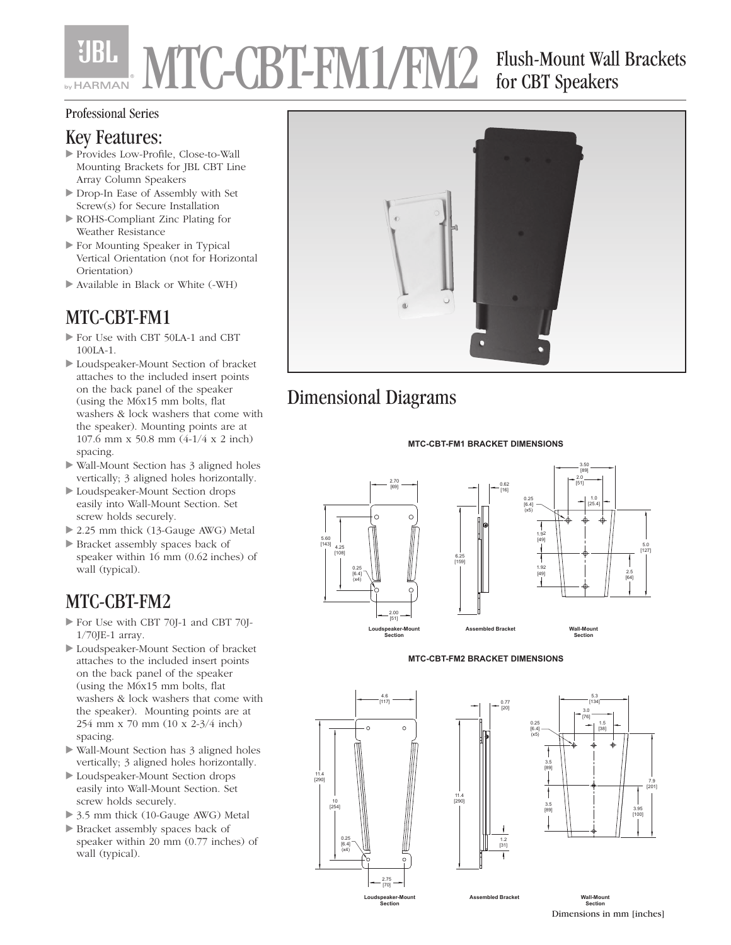# YIBI. MTC-CBT-FM1/FM2 Flush-Mount Wall Brackets for CBT Speakers

#### Professional Series

#### Key Features:

- Provides Low-Profile, Close-to-Wall Mounting Brackets for JBL CBT Line Array Column Speakers
- Drop-In Ease of Assembly with Set Screw(s) for Secure Installation
- ROHS-Compliant Zinc Plating for Weather Resistance
- For Mounting Speaker in Typical Vertical Orientation (not for Horizontal Orientation)
- Available in Black or White (-WH)

### MTC-CBT-FM1

- For Use with CBT 50LA-1 and CBT 100LA-1.
- Loudspeaker-Mount Section of bracket attaches to the included insert points on the back panel of the speaker (using the M6x15 mm bolts, flat washers & lock washers that come with the speaker). Mounting points are at 107.6 mm x 50.8 mm (4-1/4 x 2 inch) spacing.
- Wall-Mount Section has 3 aligned holes vertically; 3 aligned holes horizontally.
- Loudspeaker-Mount Section drops easily into Wall-Mount Section. Set screw holds securely.
- ▶ 2.25 mm thick (13-Gauge AWG) Metal
- Bracket assembly spaces back of speaker within 16 mm (0.62 inches) of wall (typical).

### MTC-CBT-FM2

- For Use with CBT 70J-1 and CBT 70J-1/70JE-1 array.
- Loudspeaker-Mount Section of bracket attaches to the included insert points on the back panel of the speaker (using the M6x15 mm bolts, flat washers & lock washers that come with the speaker). Mounting points are at 254 mm x 70 mm (10 x 2-3/4 inch) spacing.
- Wall-Mount Section has 3 aligned holes vertically; 3 aligned holes horizontally.
- Loudspeaker-Mount Section drops easily into Wall-Mount Section. Set screw holds securely.
- ▶ 3.5 mm thick (10-Gauge AWG) Metal
- Bracket assembly spaces back of speaker within 20 mm (0.77 inches) of wall (typical).



## Dimensional Diagrams

#### **MTC-CBT-FM1 BRACKET DIMENSIONS**







6.25 [159]

11.4 [290]





**Assembled Bracket Wall-Mount**

**Section** Dimensions in mm [inches]

7.9 [201]

3.95 [100]